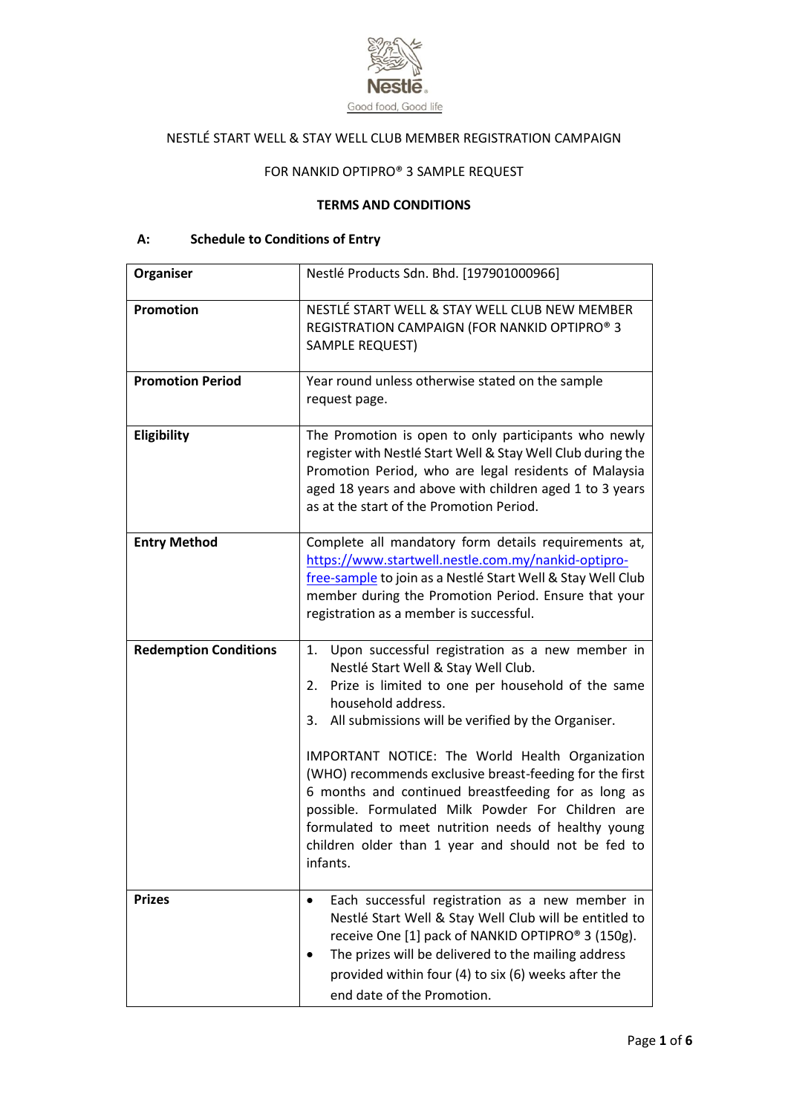

# NESTLÉ START WELL & STAY WELL CLUB MEMBER REGISTRATION CAMPAIGN

## FOR NANKID OPTIPRO® 3 SAMPLE REQUEST

## **TERMS AND CONDITIONS**

# **A: Schedule to Conditions of Entry**

| Organiser                    | Nestlé Products Sdn. Bhd. [197901000966]                                                                                                                                                                                                                                                                                                                                                                                                                                                                                                                                                      |
|------------------------------|-----------------------------------------------------------------------------------------------------------------------------------------------------------------------------------------------------------------------------------------------------------------------------------------------------------------------------------------------------------------------------------------------------------------------------------------------------------------------------------------------------------------------------------------------------------------------------------------------|
| <b>Promotion</b>             | NESTLÉ START WELL & STAY WELL CLUB NEW MEMBER<br>REGISTRATION CAMPAIGN (FOR NANKID OPTIPRO® 3<br>SAMPLE REQUEST)                                                                                                                                                                                                                                                                                                                                                                                                                                                                              |
| <b>Promotion Period</b>      | Year round unless otherwise stated on the sample<br>request page.                                                                                                                                                                                                                                                                                                                                                                                                                                                                                                                             |
| Eligibility                  | The Promotion is open to only participants who newly<br>register with Nestlé Start Well & Stay Well Club during the<br>Promotion Period, who are legal residents of Malaysia<br>aged 18 years and above with children aged 1 to 3 years<br>as at the start of the Promotion Period.                                                                                                                                                                                                                                                                                                           |
| <b>Entry Method</b>          | Complete all mandatory form details requirements at,<br>https://www.startwell.nestle.com.my/nankid-optipro-<br>free-sample to join as a Nestlé Start Well & Stay Well Club<br>member during the Promotion Period. Ensure that your<br>registration as a member is successful.                                                                                                                                                                                                                                                                                                                 |
| <b>Redemption Conditions</b> | Upon successful registration as a new member in<br>1.<br>Nestlé Start Well & Stay Well Club.<br>Prize is limited to one per household of the same<br>2.<br>household address.<br>All submissions will be verified by the Organiser.<br>3.<br>IMPORTANT NOTICE: The World Health Organization<br>(WHO) recommends exclusive breast-feeding for the first<br>6 months and continued breastfeeding for as long as<br>possible. Formulated Milk Powder For Children are<br>formulated to meet nutrition needs of healthy young<br>children older than 1 year and should not be fed to<br>infants. |
| <b>Prizes</b>                | Each successful registration as a new member in<br>$\bullet$<br>Nestlé Start Well & Stay Well Club will be entitled to<br>receive One [1] pack of NANKID OPTIPRO® 3 (150g).<br>The prizes will be delivered to the mailing address<br>provided within four (4) to six (6) weeks after the<br>end date of the Promotion.                                                                                                                                                                                                                                                                       |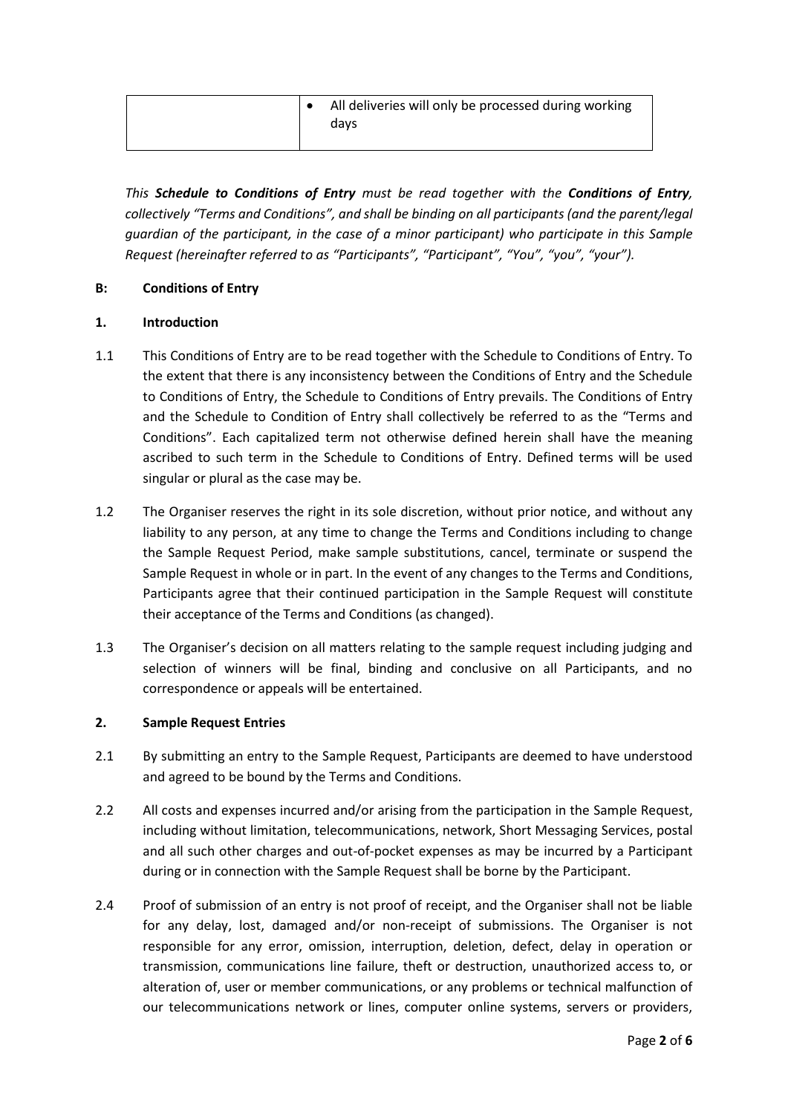| All deliveries will only be processed during working<br>davs |
|--------------------------------------------------------------|
|                                                              |

*This Schedule to Conditions of Entry must be read together with the Conditions of Entry, collectively "Terms and Conditions", and shall be binding on all participants (and the parent/legal guardian of the participant, in the case of a minor participant) who participate in this Sample Request (hereinafter referred to as "Participants", "Participant", "You", "you", "your").* 

## **B: Conditions of Entry**

## **1. Introduction**

- 1.1 This Conditions of Entry are to be read together with the Schedule to Conditions of Entry. To the extent that there is any inconsistency between the Conditions of Entry and the Schedule to Conditions of Entry, the Schedule to Conditions of Entry prevails. The Conditions of Entry and the Schedule to Condition of Entry shall collectively be referred to as the "Terms and Conditions". Each capitalized term not otherwise defined herein shall have the meaning ascribed to such term in the Schedule to Conditions of Entry. Defined terms will be used singular or plural as the case may be.
- 1.2 The Organiser reserves the right in its sole discretion, without prior notice, and without any liability to any person, at any time to change the Terms and Conditions including to change the Sample Request Period, make sample substitutions, cancel, terminate or suspend the Sample Request in whole or in part. In the event of any changes to the Terms and Conditions, Participants agree that their continued participation in the Sample Request will constitute their acceptance of the Terms and Conditions (as changed).
- 1.3 The Organiser's decision on all matters relating to the sample request including judging and selection of winners will be final, binding and conclusive on all Participants, and no correspondence or appeals will be entertained.

## **2. Sample Request Entries**

- 2.1 By submitting an entry to the Sample Request, Participants are deemed to have understood and agreed to be bound by the Terms and Conditions.
- 2.2 All costs and expenses incurred and/or arising from the participation in the Sample Request, including without limitation, telecommunications, network, Short Messaging Services, postal and all such other charges and out-of-pocket expenses as may be incurred by a Participant during or in connection with the Sample Request shall be borne by the Participant.
- 2.4 Proof of submission of an entry is not proof of receipt, and the Organiser shall not be liable for any delay, lost, damaged and/or non-receipt of submissions. The Organiser is not responsible for any error, omission, interruption, deletion, defect, delay in operation or transmission, communications line failure, theft or destruction, unauthorized access to, or alteration of, user or member communications, or any problems or technical malfunction of our telecommunications network or lines, computer online systems, servers or providers,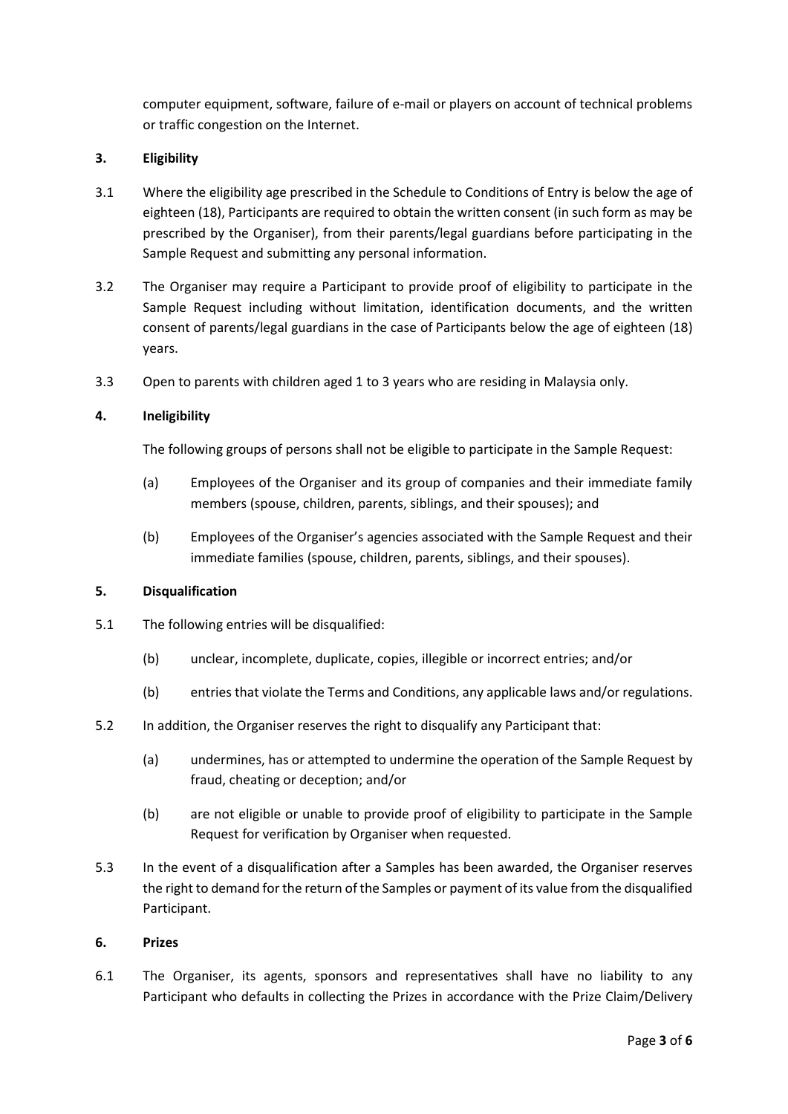computer equipment, software, failure of e-mail or players on account of technical problems or traffic congestion on the Internet.

## **3. Eligibility**

- 3.1 Where the eligibility age prescribed in the Schedule to Conditions of Entry is below the age of eighteen (18), Participants are required to obtain the written consent (in such form as may be prescribed by the Organiser), from their parents/legal guardians before participating in the Sample Request and submitting any personal information.
- 3.2 The Organiser may require a Participant to provide proof of eligibility to participate in the Sample Request including without limitation, identification documents, and the written consent of parents/legal guardians in the case of Participants below the age of eighteen (18) years.
- 3.3 Open to parents with children aged 1 to 3 years who are residing in Malaysia only.

## **4. Ineligibility**

The following groups of persons shall not be eligible to participate in the Sample Request:

- (a) Employees of the Organiser and its group of companies and their immediate family members (spouse, children, parents, siblings, and their spouses); and
- (b) Employees of the Organiser's agencies associated with the Sample Request and their immediate families (spouse, children, parents, siblings, and their spouses).

## **5. Disqualification**

- 5.1 The following entries will be disqualified:
	- (b) unclear, incomplete, duplicate, copies, illegible or incorrect entries; and/or
	- (b) entries that violate the Terms and Conditions, any applicable laws and/or regulations.
- 5.2 In addition, the Organiser reserves the right to disqualify any Participant that:
	- (a) undermines, has or attempted to undermine the operation of the Sample Request by fraud, cheating or deception; and/or
	- (b) are not eligible or unable to provide proof of eligibility to participate in the Sample Request for verification by Organiser when requested.
- 5.3 In the event of a disqualification after a Samples has been awarded, the Organiser reserves the right to demand for the return of the Samples or payment of its value from the disqualified Participant.

## **6. Prizes**

6.1 The Organiser, its agents, sponsors and representatives shall have no liability to any Participant who defaults in collecting the Prizes in accordance with the Prize Claim/Delivery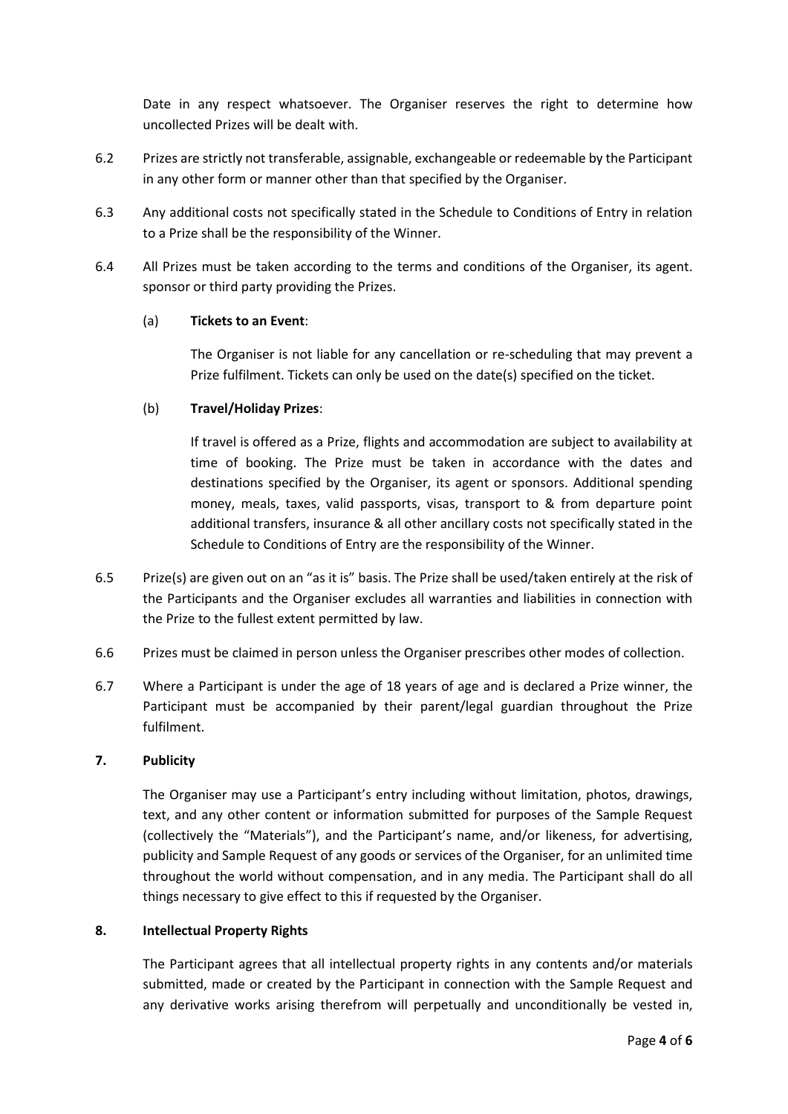Date in any respect whatsoever. The Organiser reserves the right to determine how uncollected Prizes will be dealt with.

- 6.2 Prizes are strictly not transferable, assignable, exchangeable or redeemable by the Participant in any other form or manner other than that specified by the Organiser.
- 6.3 Any additional costs not specifically stated in the Schedule to Conditions of Entry in relation to a Prize shall be the responsibility of the Winner.
- 6.4 All Prizes must be taken according to the terms and conditions of the Organiser, its agent. sponsor or third party providing the Prizes.

## (a) **Tickets to an Event**:

The Organiser is not liable for any cancellation or re-scheduling that may prevent a Prize fulfilment. Tickets can only be used on the date(s) specified on the ticket.

## (b) **Travel/Holiday Prizes**:

If travel is offered as a Prize, flights and accommodation are subject to availability at time of booking. The Prize must be taken in accordance with the dates and destinations specified by the Organiser, its agent or sponsors. Additional spending money, meals, taxes, valid passports, visas, transport to & from departure point additional transfers, insurance & all other ancillary costs not specifically stated in the Schedule to Conditions of Entry are the responsibility of the Winner.

- 6.5 Prize(s) are given out on an "as it is" basis. The Prize shall be used/taken entirely at the risk of the Participants and the Organiser excludes all warranties and liabilities in connection with the Prize to the fullest extent permitted by law.
- 6.6 Prizes must be claimed in person unless the Organiser prescribes other modes of collection.
- 6.7 Where a Participant is under the age of 18 years of age and is declared a Prize winner, the Participant must be accompanied by their parent/legal guardian throughout the Prize fulfilment.

## **7. Publicity**

The Organiser may use a Participant's entry including without limitation, photos, drawings, text, and any other content or information submitted for purposes of the Sample Request (collectively the "Materials"), and the Participant's name, and/or likeness, for advertising, publicity and Sample Request of any goods or services of the Organiser, for an unlimited time throughout the world without compensation, and in any media. The Participant shall do all things necessary to give effect to this if requested by the Organiser.

## **8. Intellectual Property Rights**

The Participant agrees that all intellectual property rights in any contents and/or materials submitted, made or created by the Participant in connection with the Sample Request and any derivative works arising therefrom will perpetually and unconditionally be vested in,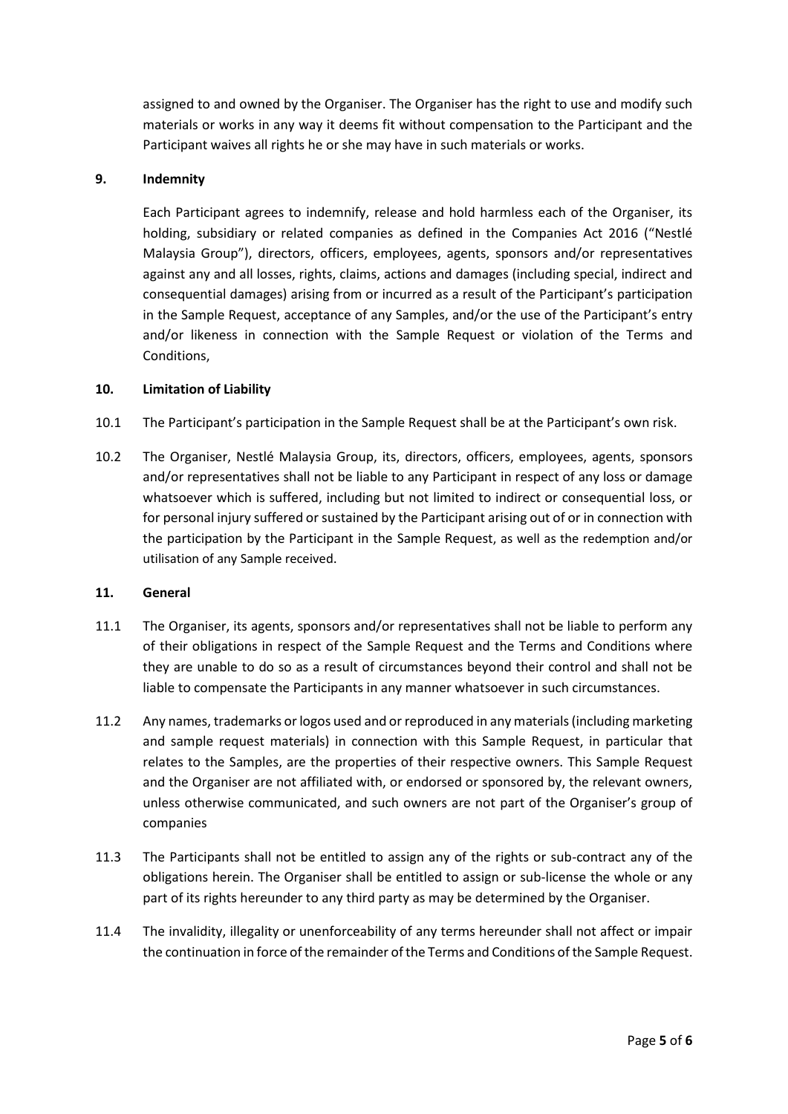assigned to and owned by the Organiser. The Organiser has the right to use and modify such materials or works in any way it deems fit without compensation to the Participant and the Participant waives all rights he or she may have in such materials or works.

## **9. Indemnity**

Each Participant agrees to indemnify, release and hold harmless each of the Organiser, its holding, subsidiary or related companies as defined in the Companies Act 2016 ("Nestlé Malaysia Group"), directors, officers, employees, agents, sponsors and/or representatives against any and all losses, rights, claims, actions and damages (including special, indirect and consequential damages) arising from or incurred as a result of the Participant's participation in the Sample Request, acceptance of any Samples, and/or the use of the Participant's entry and/or likeness in connection with the Sample Request or violation of the Terms and Conditions,

#### **10. Limitation of Liability**

- 10.1 The Participant's participation in the Sample Request shall be at the Participant's own risk.
- 10.2 The Organiser, Nestlé Malaysia Group, its, directors, officers, employees, agents, sponsors and/or representatives shall not be liable to any Participant in respect of any loss or damage whatsoever which is suffered, including but not limited to indirect or consequential loss, or for personal injury suffered or sustained by the Participant arising out of or in connection with the participation by the Participant in the Sample Request, as well as the redemption and/or utilisation of any Sample received.

#### **11. General**

- 11.1 The Organiser, its agents, sponsors and/or representatives shall not be liable to perform any of their obligations in respect of the Sample Request and the Terms and Conditions where they are unable to do so as a result of circumstances beyond their control and shall not be liable to compensate the Participants in any manner whatsoever in such circumstances.
- 11.2 Any names, trademarks or logos used and or reproduced in any materials (including marketing and sample request materials) in connection with this Sample Request, in particular that relates to the Samples, are the properties of their respective owners. This Sample Request and the Organiser are not affiliated with, or endorsed or sponsored by, the relevant owners, unless otherwise communicated, and such owners are not part of the Organiser's group of companies
- 11.3 The Participants shall not be entitled to assign any of the rights or sub-contract any of the obligations herein. The Organiser shall be entitled to assign or sub-license the whole or any part of its rights hereunder to any third party as may be determined by the Organiser.
- 11.4 The invalidity, illegality or unenforceability of any terms hereunder shall not affect or impair the continuation in force of the remainder of the Terms and Conditions of the Sample Request.